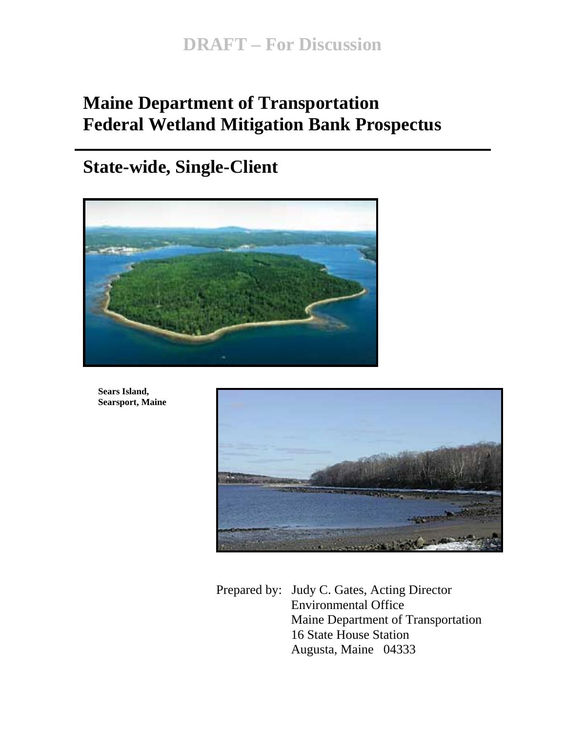# **Maine Department of Transportation Federal Wetland Mitigation Bank Prospectus**

# **State-wide, Single-Client**



**Sears Island, Searsport, Maine** 



Prepared by: Judy C. Gates, Acting Director Environmental Office Maine Department of Transportation 16 State House Station Augusta, Maine 04333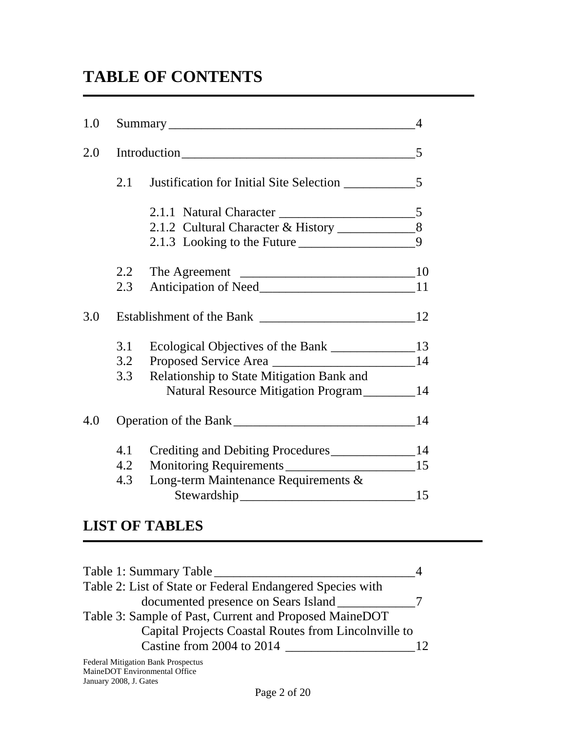# **TABLE OF CONTENTS**

| 1.0 |     |                                                     |   |
|-----|-----|-----------------------------------------------------|---|
| 2.0 |     |                                                     |   |
|     | 2.1 |                                                     |   |
|     |     |                                                     |   |
|     |     | 2.1.2 Cultural Character & History _______________8 |   |
|     |     | 2.1.3 Looking to the Future                         | 9 |
|     | 2.2 |                                                     |   |
|     | 2.3 |                                                     |   |
| 3.0 |     |                                                     |   |
|     | 3.1 |                                                     |   |
|     | 3.2 |                                                     |   |
|     | 3.3 | Relationship to State Mitigation Bank and           |   |
|     |     | Natural Resource Mitigation Program__________14     |   |
| 4.0 |     |                                                     |   |
|     | 4.1 | Crediting and Debiting Procedures______________14   |   |
|     | 4.2 | Monitoring Requirements ________________________15  |   |
|     | 4.3 | Long-term Maintenance Requirements &                |   |
|     |     |                                                     |   |

## **LIST OF TABLES**

| Table 1: Summary Table                                    |  |
|-----------------------------------------------------------|--|
| Table 2: List of State or Federal Endangered Species with |  |
| documented presence on Sears Island                       |  |
| Table 3: Sample of Past, Current and Proposed MaineDOT    |  |
| Capital Projects Coastal Routes from Lincolnville to      |  |
| Castine from 2004 to 2014                                 |  |
|                                                           |  |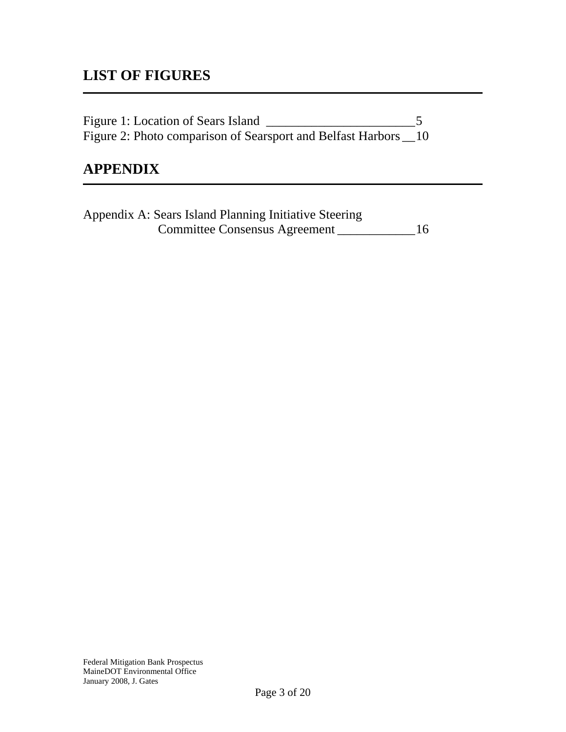## **LIST OF FIGURES**

| Figure 1: Location of Sears Island                             |  |
|----------------------------------------------------------------|--|
| Figure 2: Photo comparison of Searsport and Belfast Harbors 10 |  |

### **APPENDIX**

Appendix A: Sears Island Planning Initiative Steering Committee Consensus Agreement \_\_\_\_\_\_\_\_\_\_\_\_16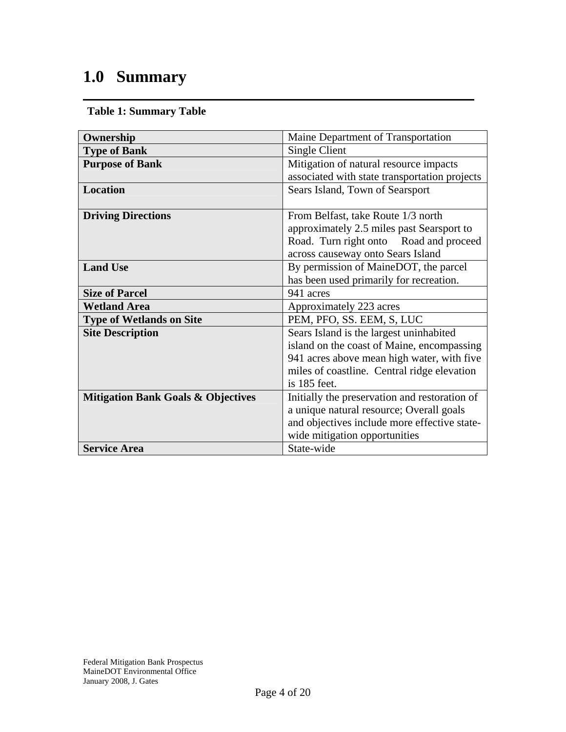# **1.0 Summary**

**Table 1: Summary Table** 

| Ownership                                     | Maine Department of Transportation            |  |
|-----------------------------------------------|-----------------------------------------------|--|
| <b>Type of Bank</b>                           | Single Client                                 |  |
| <b>Purpose of Bank</b>                        | Mitigation of natural resource impacts        |  |
|                                               | associated with state transportation projects |  |
| Location                                      | Sears Island, Town of Searsport               |  |
|                                               |                                               |  |
| <b>Driving Directions</b>                     | From Belfast, take Route 1/3 north            |  |
|                                               | approximately 2.5 miles past Searsport to     |  |
|                                               | Road. Turn right onto Road and proceed        |  |
|                                               | across causeway onto Sears Island             |  |
| <b>Land Use</b>                               | By permission of MaineDOT, the parcel         |  |
|                                               | has been used primarily for recreation.       |  |
| <b>Size of Parcel</b>                         | 941 acres                                     |  |
| <b>Wetland Area</b>                           | Approximately 223 acres                       |  |
| <b>Type of Wetlands on Site</b>               | PEM, PFO, SS. EEM, S, LUC                     |  |
| <b>Site Description</b>                       | Sears Island is the largest uninhabited       |  |
|                                               | island on the coast of Maine, encompassing    |  |
|                                               | 941 acres above mean high water, with five    |  |
|                                               | miles of coastline. Central ridge elevation   |  |
|                                               | is 185 feet.                                  |  |
| <b>Mitigation Bank Goals &amp; Objectives</b> | Initially the preservation and restoration of |  |
|                                               | a unique natural resource; Overall goals      |  |
|                                               | and objectives include more effective state-  |  |
|                                               | wide mitigation opportunities                 |  |
| <b>Service Area</b>                           | State-wide                                    |  |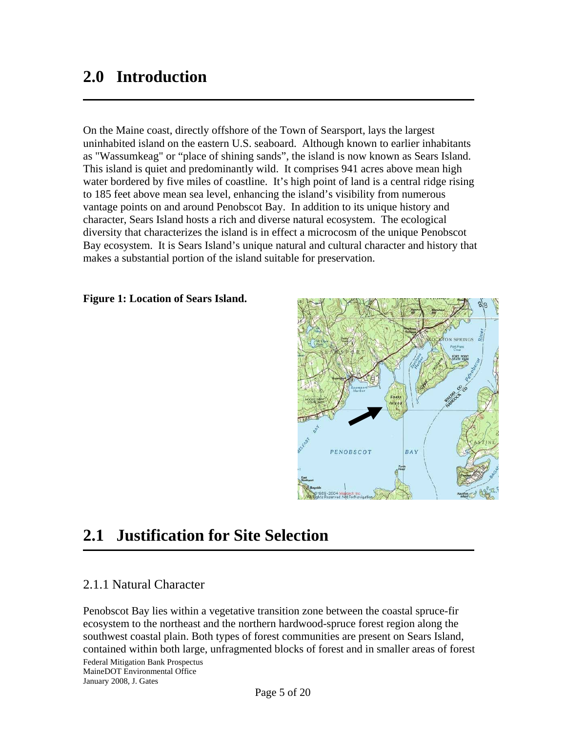## **2.0 Introduction**

On the Maine coast, directly offshore of the Town of Searsport, lays the largest uninhabited island on the eastern U.S. seaboard. Although known to earlier inhabitants as "Wassumkeag" or "place of shining sands", the island is now known as Sears Island. This island is quiet and predominantly wild. It comprises 941 acres above mean high water bordered by five miles of coastline. It's high point of land is a central ridge rising to 185 feet above mean sea level, enhancing the island's visibility from numerous vantage points on and around Penobscot Bay. In addition to its unique history and character, Sears Island hosts a rich and diverse natural ecosystem. The ecological diversity that characterizes the island is in effect a microcosm of the unique Penobscot Bay ecosystem. It is Sears Island's unique natural and cultural character and history that makes a substantial portion of the island suitable for preservation.

#### **Figure 1: Location of Sears Island.**



## **2.1 Justification for Site Selection**

#### 2.1.1 Natural Character

Penobscot Bay lies within a vegetative transition zone between the coastal spruce-fir ecosystem to the northeast and the northern hardwood-spruce forest region along the southwest coastal plain. Both types of forest communities are present on Sears Island, contained within both large, unfragmented blocks of forest and in smaller areas of forest

Federal Mitigation Bank Prospectus MaineDOT Environmental Office January 2008, J. Gates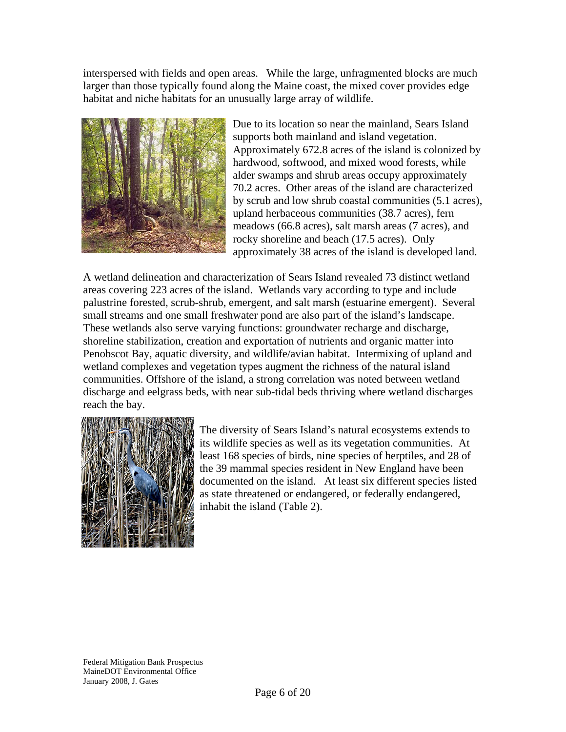interspersed with fields and open areas. While the large, unfragmented blocks are much larger than those typically found along the Maine coast, the mixed cover provides edge habitat and niche habitats for an unusually large array of wildlife.



Due to its location so near the mainland, Sears Island supports both mainland and island vegetation. Approximately 672.8 acres of the island is colonized by hardwood, softwood, and mixed wood forests, while alder swamps and shrub areas occupy approximately 70.2 acres. Other areas of the island are characterized by scrub and low shrub coastal communities (5.1 acres), upland herbaceous communities (38.7 acres), fern meadows (66.8 acres), salt marsh areas (7 acres), and rocky shoreline and beach (17.5 acres). Only approximately 38 acres of the island is developed land.

A wetland delineation and characterization of Sears Island revealed 73 distinct wetland areas covering 223 acres of the island. Wetlands vary according to type and include palustrine forested, scrub-shrub, emergent, and salt marsh (estuarine emergent). Several small streams and one small freshwater pond are also part of the island's landscape. These wetlands also serve varying functions: groundwater recharge and discharge, shoreline stabilization, creation and exportation of nutrients and organic matter into Penobscot Bay, aquatic diversity, and wildlife/avian habitat. Intermixing of upland and wetland complexes and vegetation types augment the richness of the natural island communities. Offshore of the island, a strong correlation was noted between wetland discharge and eelgrass beds, with near sub-tidal beds thriving where wetland discharges reach the bay.



The diversity of Sears Island's natural ecosystems extends to its wildlife species as well as its vegetation communities. At least 168 species of birds, nine species of herptiles, and 28 of the 39 mammal species resident in New England have been documented on the island. At least six different species listed as state threatened or endangered, or federally endangered, inhabit the island (Table 2).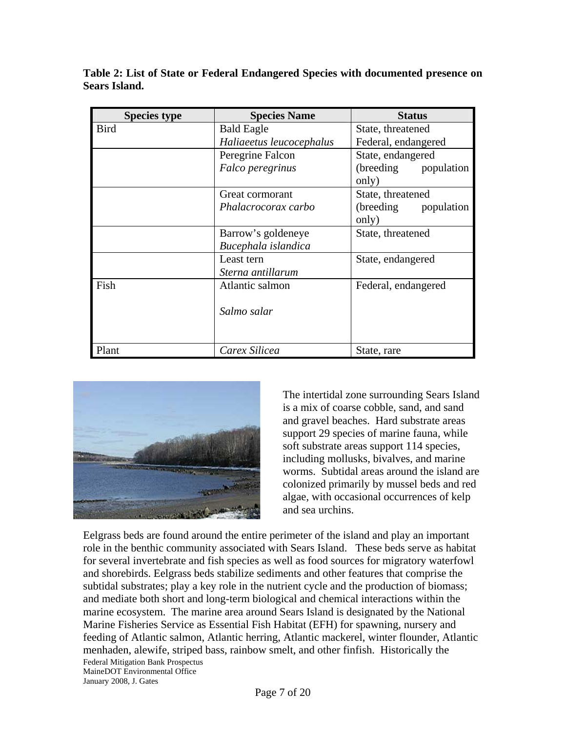| <b>Species type</b> | <b>Species Name</b>      | <b>Status</b>            |
|---------------------|--------------------------|--------------------------|
| <b>Bird</b>         | <b>Bald Eagle</b>        | State, threatened        |
|                     | Haliaeetus leucocephalus | Federal, endangered      |
|                     | Peregrine Falcon         | State, endangered        |
|                     | Falco peregrinus         | (breeding)<br>population |
|                     |                          | only)                    |
|                     | Great cormorant          | State, threatened        |
|                     | Phalacrocorax carbo      | (breeding)<br>population |
|                     |                          | only)                    |
|                     | Barrow's goldeneye       | State, threatened        |
|                     | Bucephala islandica      |                          |
|                     | Least tern               | State, endangered        |
|                     | Sterna antillarum        |                          |
| Fish                | Atlantic salmon          | Federal, endangered      |
|                     |                          |                          |
|                     | Salmo salar              |                          |
|                     |                          |                          |
|                     |                          |                          |
| Plant               | Carex Silicea            | State, rare              |

**Table 2: List of State or Federal Endangered Species with documented presence on Sears Island.** 



The intertidal zone surrounding Sears Island is a mix of coarse cobble, sand, and sand and gravel beaches. Hard substrate areas support 29 species of marine fauna, while soft substrate areas support 114 species, including mollusks, bivalves, and marine worms. Subtidal areas around the island are colonized primarily by mussel beds and red algae, with occasional occurrences of kelp and sea urchins.

Federal Mitigation Bank Prospectus MaineDOT Environmental Office Eelgrass beds are found around the entire perimeter of the island and play an important role in the benthic community associated with Sears Island. These beds serve as habitat for several invertebrate and fish species as well as food sources for migratory waterfowl and shorebirds. Eelgrass beds stabilize sediments and other features that comprise the subtidal substrates; play a key role in the nutrient cycle and the production of biomass; and mediate both short and long-term biological and chemical interactions within the marine ecosystem. The marine area around Sears Island is designated by the National Marine Fisheries Service as Essential Fish Habitat (EFH) for spawning, nursery and feeding of Atlantic salmon, Atlantic herring, Atlantic mackerel, winter flounder, Atlantic menhaden, alewife, striped bass, rainbow smelt, and other finfish. Historically the

January 2008, J. Gates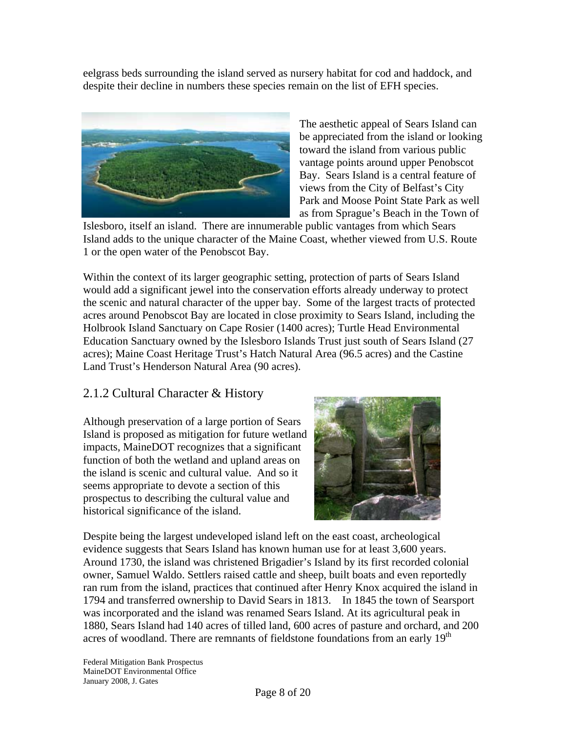eelgrass beds surrounding the island served as nursery habitat for cod and haddock, and despite their decline in numbers these species remain on the list of EFH species.



The aesthetic appeal of Sears Island can be appreciated from the island or looking toward the island from various public vantage points around upper Penobscot Bay. Sears Island is a central feature of views from the City of Belfast's City Park and Moose Point State Park as well as from Sprague's Beach in the Town of

Islesboro, itself an island. There are innumerable public vantages from which Sears Island adds to the unique character of the Maine Coast, whether viewed from U.S. Route 1 or the open water of the Penobscot Bay.

Within the context of its larger geographic setting, protection of parts of Sears Island would add a significant jewel into the conservation efforts already underway to protect the scenic and natural character of the upper bay. Some of the largest tracts of protected acres around Penobscot Bay are located in close proximity to Sears Island, including the Holbrook Island Sanctuary on Cape Rosier (1400 acres); Turtle Head Environmental Education Sanctuary owned by the Islesboro Islands Trust just south of Sears Island (27 acres); Maine Coast Heritage Trust's Hatch Natural Area (96.5 acres) and the Castine Land Trust's Henderson Natural Area (90 acres).

### 2.1.2 Cultural Character & History

Although preservation of a large portion of Sears Island is proposed as mitigation for future wetland impacts, MaineDOT recognizes that a significant function of both the wetland and upland areas on the island is scenic and cultural value. And so it seems appropriate to devote a section of this prospectus to describing the cultural value and historical significance of the island.



Despite being the largest undeveloped island left on the east coast, archeological evidence suggests that Sears Island has known human use for at least 3,600 years. Around 1730, the island was christened Brigadier's Island by its first recorded colonial owner, Samuel Waldo. Settlers raised cattle and sheep, built boats and even reportedly ran rum from the island, practices that continued after Henry Knox acquired the island in 1794 and transferred ownership to David Sears in 1813. In 1845 the town of Searsport was incorporated and the island was renamed Sears Island. At its agricultural peak in 1880, Sears Island had 140 acres of tilled land, 600 acres of pasture and orchard, and 200 acres of woodland. There are remnants of fieldstone foundations from an early 19<sup>th</sup>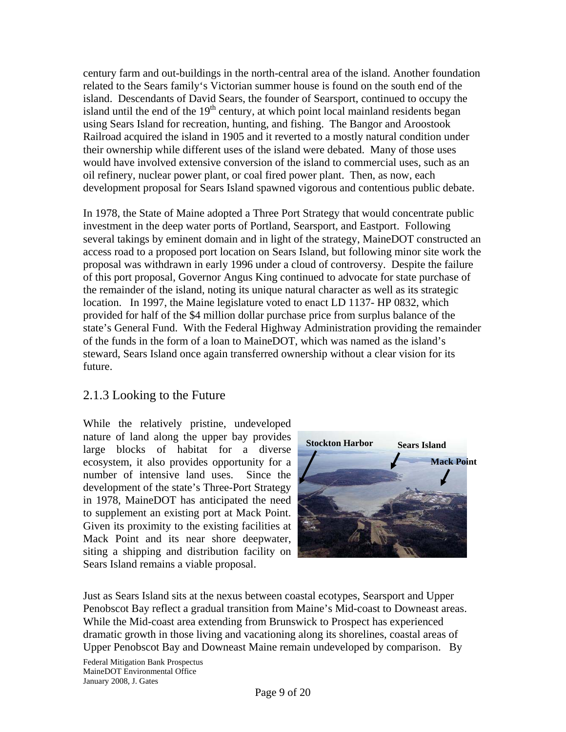century farm and out-buildings in the north-central area of the island. Another foundation related to the Sears family's Victorian summer house is found on the south end of the island. Descendants of David Sears, the founder of Searsport, continued to occupy the island until the end of the  $19<sup>th</sup>$  century, at which point local mainland residents began using Sears Island for recreation, hunting, and fishing. The Bangor and Aroostook Railroad acquired the island in 1905 and it reverted to a mostly natural condition under their ownership while different uses of the island were debated. Many of those uses would have involved extensive conversion of the island to commercial uses, such as an oil refinery, nuclear power plant, or coal fired power plant. Then, as now, each development proposal for Sears Island spawned vigorous and contentious public debate.

In 1978, the State of Maine adopted a Three Port Strategy that would concentrate public investment in the deep water ports of Portland, Searsport, and Eastport. Following several takings by eminent domain and in light of the strategy, MaineDOT constructed an access road to a proposed port location on Sears Island, but following minor site work the proposal was withdrawn in early 1996 under a cloud of controversy. Despite the failure of this port proposal, Governor Angus King continued to advocate for state purchase of the remainder of the island, noting its unique natural character as well as its strategic location. In 1997, the Maine legislature voted to enact LD 1137- HP 0832, which provided for half of the \$4 million dollar purchase price from surplus balance of the state's General Fund. With the Federal Highway Administration providing the remainder of the funds in the form of a loan to MaineDOT, which was named as the island's steward, Sears Island once again transferred ownership without a clear vision for its future.

### 2.1.3 Looking to the Future

While the relatively pristine, undeveloped nature of land along the upper bay provides large blocks of habitat for a diverse ecosystem, it also provides opportunity for a number of intensive land uses. Since the development of the state's Three-Port Strategy in 1978, MaineDOT has anticipated the need to supplement an existing port at Mack Point. Given its proximity to the existing facilities at Mack Point and its near shore deepwater, siting a shipping and distribution facility on Sears Island remains a viable proposal.



Just as Sears Island sits at the nexus between coastal ecotypes, Searsport and Upper Penobscot Bay reflect a gradual transition from Maine's Mid-coast to Downeast areas. While the Mid-coast area extending from Brunswick to Prospect has experienced dramatic growth in those living and vacationing along its shorelines, coastal areas of Upper Penobscot Bay and Downeast Maine remain undeveloped by comparison. By

Federal Mitigation Bank Prospectus MaineDOT Environmental Office January 2008, J. Gates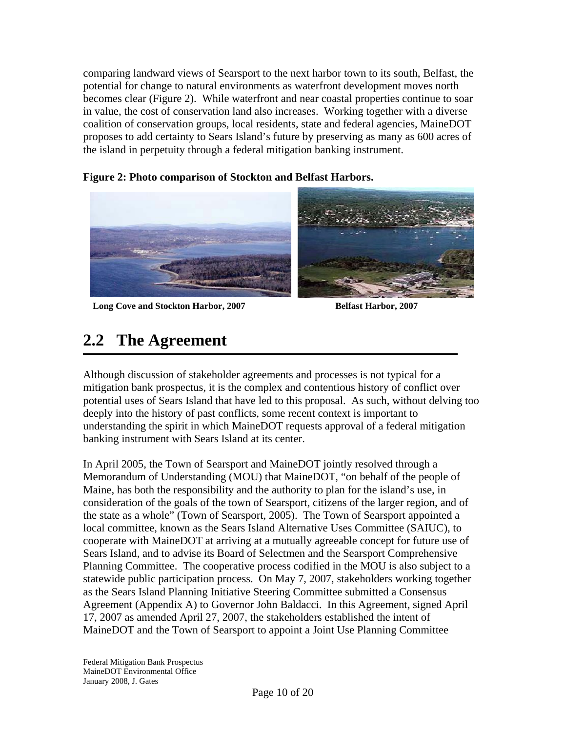comparing landward views of Searsport to the next harbor town to its south, Belfast, the potential for change to natural environments as waterfront development moves north becomes clear (Figure 2). While waterfront and near coastal properties continue to soar in value, the cost of conservation land also increases. Working together with a diverse coalition of conservation groups, local residents, state and federal agencies, MaineDOT proposes to add certainty to Sears Island's future by preserving as many as 600 acres of the island in perpetuity through a federal mitigation banking instrument.

**Figure 2: Photo comparison of Stockton and Belfast Harbors.** 

## **2.2 The Agreement**

Although discussion of stakeholder agreements and processes is not typical for a mitigation bank prospectus, it is the complex and contentious history of conflict over potential uses of Sears Island that have led to this proposal. As such, without delving too deeply into the history of past conflicts, some recent context is important to understanding the spirit in which MaineDOT requests approval of a federal mitigation banking instrument with Sears Island at its center.

In April 2005, the Town of Searsport and MaineDOT jointly resolved through a Memorandum of Understanding (MOU) that MaineDOT, "on behalf of the people of Maine, has both the responsibility and the authority to plan for the island's use, in consideration of the goals of the town of Searsport, citizens of the larger region, and of the state as a whole" (Town of Searsport, 2005). The Town of Searsport appointed a local committee, known as the Sears Island Alternative Uses Committee (SAIUC), to cooperate with MaineDOT at arriving at a mutually agreeable concept for future use of Sears Island, and to advise its Board of Selectmen and the Searsport Comprehensive Planning Committee. The cooperative process codified in the MOU is also subject to a statewide public participation process. On May 7, 2007, stakeholders working together as the Sears Island Planning Initiative Steering Committee submitted a Consensus Agreement (Appendix A) to Governor John Baldacci. In this Agreement, signed April 17, 2007 as amended April 27, 2007, the stakeholders established the intent of MaineDOT and the Town of Searsport to appoint a Joint Use Planning Committee

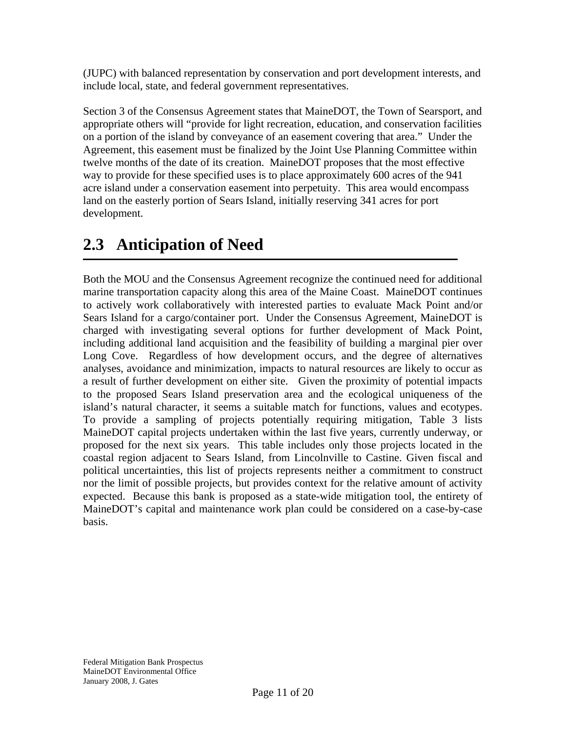(JUPC) with balanced representation by conservation and port development interests, and include local, state, and federal government representatives.

Section 3 of the Consensus Agreement states that MaineDOT, the Town of Searsport, and appropriate others will "provide for light recreation, education, and conservation facilities on a portion of the island by conveyance of an easement covering that area." Under the Agreement, this easement must be finalized by the Joint Use Planning Committee within twelve months of the date of its creation. MaineDOT proposes that the most effective way to provide for these specified uses is to place approximately 600 acres of the 941 acre island under a conservation easement into perpetuity. This area would encompass land on the easterly portion of Sears Island, initially reserving 341 acres for port development.

## **2.3 Anticipation of Need**

Both the MOU and the Consensus Agreement recognize the continued need for additional marine transportation capacity along this area of the Maine Coast. MaineDOT continues to actively work collaboratively with interested parties to evaluate Mack Point and/or Sears Island for a cargo/container port. Under the Consensus Agreement, MaineDOT is charged with investigating several options for further development of Mack Point, including additional land acquisition and the feasibility of building a marginal pier over Long Cove. Regardless of how development occurs, and the degree of alternatives analyses, avoidance and minimization, impacts to natural resources are likely to occur as a result of further development on either site. Given the proximity of potential impacts to the proposed Sears Island preservation area and the ecological uniqueness of the island's natural character, it seems a suitable match for functions, values and ecotypes. To provide a sampling of projects potentially requiring mitigation, Table 3 lists MaineDOT capital projects undertaken within the last five years, currently underway, or proposed for the next six years. This table includes only those projects located in the coastal region adjacent to Sears Island, from Lincolnville to Castine. Given fiscal and political uncertainties, this list of projects represents neither a commitment to construct nor the limit of possible projects, but provides context for the relative amount of activity expected. Because this bank is proposed as a state-wide mitigation tool, the entirety of MaineDOT's capital and maintenance work plan could be considered on a case-by-case basis.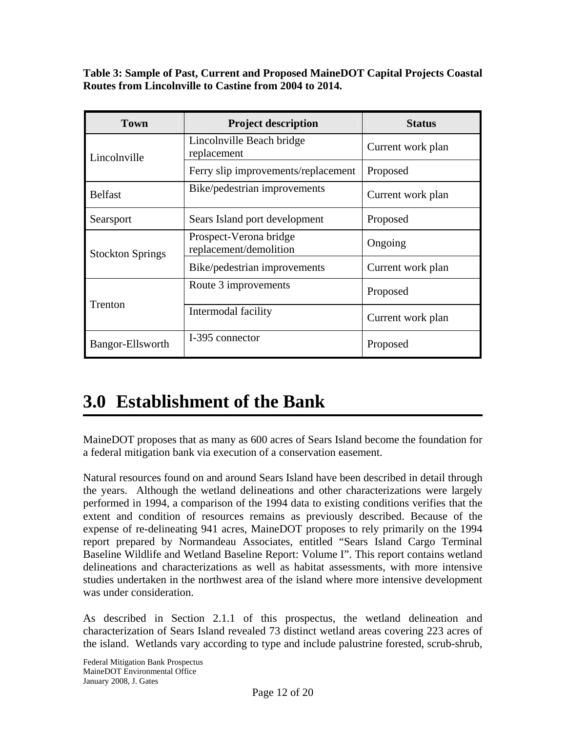**Table 3: Sample of Past, Current and Proposed MaineDOT Capital Projects Coastal Routes from Lincolnville to Castine from 2004 to 2014.** 

| <b>Town</b>             | <b>Project description</b>                       | <b>Status</b>     |
|-------------------------|--------------------------------------------------|-------------------|
| Lincolnville            | Lincolnville Beach bridge<br>replacement         | Current work plan |
|                         | Ferry slip improvements/replacement              | Proposed          |
| <b>Belfast</b>          | Bike/pedestrian improvements                     | Current work plan |
| Searsport               | Sears Island port development                    | Proposed          |
| <b>Stockton Springs</b> | Prospect-Verona bridge<br>replacement/demolition | Ongoing           |
|                         | Bike/pedestrian improvements                     | Current work plan |
|                         | Route 3 improvements                             | Proposed          |
| Trenton                 | Intermodal facility                              | Current work plan |
| Bangor-Ellsworth        | I-395 connector                                  | Proposed          |

# **3.0 Establishment of the Bank**

MaineDOT proposes that as many as 600 acres of Sears Island become the foundation for a federal mitigation bank via execution of a conservation easement.

Natural resources found on and around Sears Island have been described in detail through the years. Although the wetland delineations and other characterizations were largely performed in 1994, a comparison of the 1994 data to existing conditions verifies that the extent and condition of resources remains as previously described. Because of the expense of re-delineating 941 acres, MaineDOT proposes to rely primarily on the 1994 report prepared by Normandeau Associates, entitled "Sears Island Cargo Terminal Baseline Wildlife and Wetland Baseline Report: Volume I". This report contains wetland delineations and characterizations as well as habitat assessments, with more intensive studies undertaken in the northwest area of the island where more intensive development was under consideration.

As described in Section 2.1.1 of this prospectus, the wetland delineation and characterization of Sears Island revealed 73 distinct wetland areas covering 223 acres of the island. Wetlands vary according to type and include palustrine forested, scrub-shrub,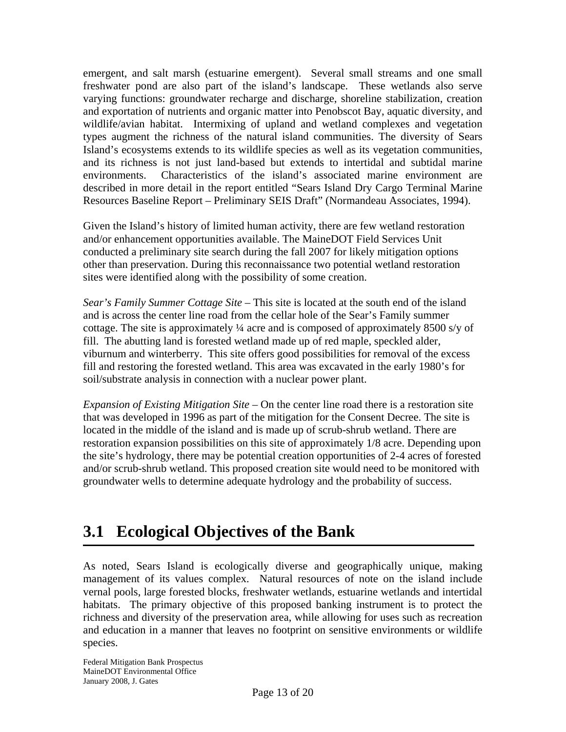emergent, and salt marsh (estuarine emergent). Several small streams and one small freshwater pond are also part of the island's landscape. These wetlands also serve varying functions: groundwater recharge and discharge, shoreline stabilization, creation and exportation of nutrients and organic matter into Penobscot Bay, aquatic diversity, and wildlife/avian habitat. Intermixing of upland and wetland complexes and vegetation types augment the richness of the natural island communities. The diversity of Sears Island's ecosystems extends to its wildlife species as well as its vegetation communities, and its richness is not just land-based but extends to intertidal and subtidal marine environments. Characteristics of the island's associated marine environment are described in more detail in the report entitled "Sears Island Dry Cargo Terminal Marine Resources Baseline Report – Preliminary SEIS Draft" (Normandeau Associates, 1994).

Given the Island's history of limited human activity, there are few wetland restoration and/or enhancement opportunities available. The MaineDOT Field Services Unit conducted a preliminary site search during the fall 2007 for likely mitigation options other than preservation. During this reconnaissance two potential wetland restoration sites were identified along with the possibility of some creation.

*Sear's Family Summer Cottage Site* – This site is located at the south end of the island and is across the center line road from the cellar hole of the Sear's Family summer cottage. The site is approximately ¼ acre and is composed of approximately 8500 s/y of fill. The abutting land is forested wetland made up of red maple, speckled alder, viburnum and winterberry. This site offers good possibilities for removal of the excess fill and restoring the forested wetland. This area was excavated in the early 1980's for soil/substrate analysis in connection with a nuclear power plant.

*Expansion of Existing Mitigation Site* – On the center line road there is a restoration site that was developed in 1996 as part of the mitigation for the Consent Decree. The site is located in the middle of the island and is made up of scrub-shrub wetland. There are restoration expansion possibilities on this site of approximately 1/8 acre. Depending upon the site's hydrology, there may be potential creation opportunities of 2-4 acres of forested and/or scrub-shrub wetland. This proposed creation site would need to be monitored with groundwater wells to determine adequate hydrology and the probability of success.

## **3.1 Ecological Objectives of the Bank**

As noted, Sears Island is ecologically diverse and geographically unique, making management of its values complex. Natural resources of note on the island include vernal pools, large forested blocks, freshwater wetlands, estuarine wetlands and intertidal habitats. The primary objective of this proposed banking instrument is to protect the richness and diversity of the preservation area, while allowing for uses such as recreation and education in a manner that leaves no footprint on sensitive environments or wildlife species.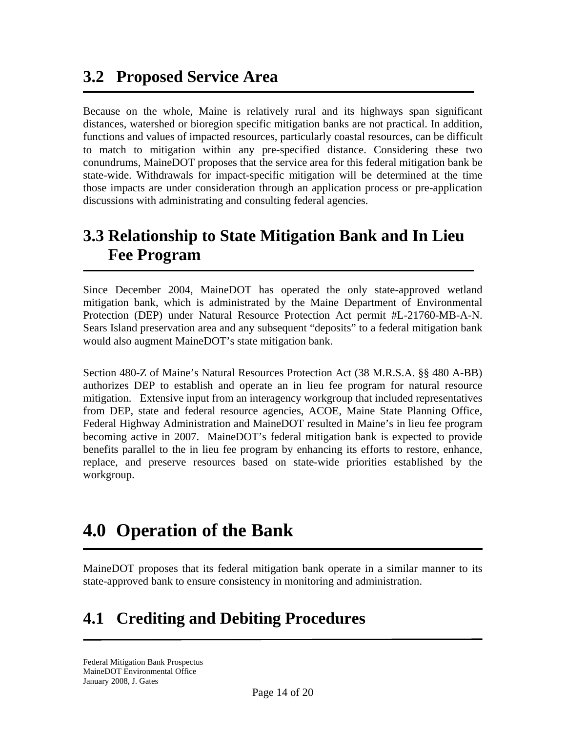## **3.2 Proposed Service Area**

Because on the whole, Maine is relatively rural and its highways span significant distances, watershed or bioregion specific mitigation banks are not practical. In addition, functions and values of impacted resources, particularly coastal resources, can be difficult to match to mitigation within any pre-specified distance. Considering these two conundrums, MaineDOT proposes that the service area for this federal mitigation bank be state-wide. Withdrawals for impact-specific mitigation will be determined at the time those impacts are under consideration through an application process or pre-application discussions with administrating and consulting federal agencies.

## **3.3 Relationship to State Mitigation Bank and In Lieu Fee Program**

Since December 2004, MaineDOT has operated the only state-approved wetland mitigation bank, which is administrated by the Maine Department of Environmental Protection (DEP) under Natural Resource Protection Act permit #L-21760-MB-A-N. Sears Island preservation area and any subsequent "deposits" to a federal mitigation bank would also augment MaineDOT's state mitigation bank.

Section 480-Z of Maine's Natural Resources Protection Act (38 M.R.S.A. §§ 480 A-BB) authorizes DEP to establish and operate an in lieu fee program for natural resource mitigation. Extensive input from an interagency workgroup that included representatives from DEP, state and federal resource agencies, ACOE, Maine State Planning Office, Federal Highway Administration and MaineDOT resulted in Maine's in lieu fee program becoming active in 2007. MaineDOT's federal mitigation bank is expected to provide benefits parallel to the in lieu fee program by enhancing its efforts to restore, enhance, replace, and preserve resources based on state-wide priorities established by the workgroup.

# **4.0 Operation of the Bank**

MaineDOT proposes that its federal mitigation bank operate in a similar manner to its state-approved bank to ensure consistency in monitoring and administration.

## **4.1 Crediting and Debiting Procedures**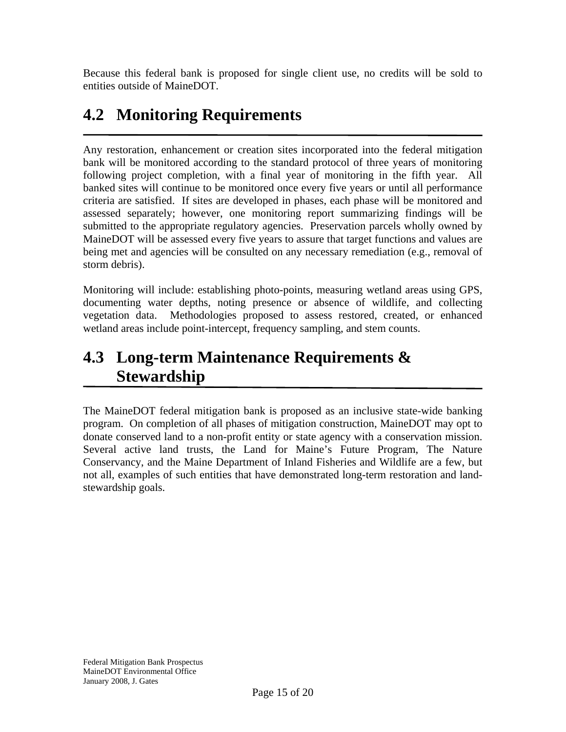Because this federal bank is proposed for single client use, no credits will be sold to entities outside of MaineDOT.

## **4.2 Monitoring Requirements**

Any restoration, enhancement or creation sites incorporated into the federal mitigation bank will be monitored according to the standard protocol of three years of monitoring following project completion, with a final year of monitoring in the fifth year. All banked sites will continue to be monitored once every five years or until all performance criteria are satisfied. If sites are developed in phases, each phase will be monitored and assessed separately; however, one monitoring report summarizing findings will be submitted to the appropriate regulatory agencies. Preservation parcels wholly owned by MaineDOT will be assessed every five years to assure that target functions and values are being met and agencies will be consulted on any necessary remediation (e.g., removal of storm debris).

Monitoring will include: establishing photo-points, measuring wetland areas using GPS, documenting water depths, noting presence or absence of wildlife, and collecting vegetation data. Methodologies proposed to assess restored, created, or enhanced wetland areas include point-intercept, frequency sampling, and stem counts.

## **4.3 Long-term Maintenance Requirements & Stewardship**

The MaineDOT federal mitigation bank is proposed as an inclusive state-wide banking program. On completion of all phases of mitigation construction, MaineDOT may opt to donate conserved land to a non-profit entity or state agency with a conservation mission. Several active land trusts, the Land for Maine's Future Program, The Nature Conservancy, and the Maine Department of Inland Fisheries and Wildlife are a few, but not all, examples of such entities that have demonstrated long-term restoration and landstewardship goals.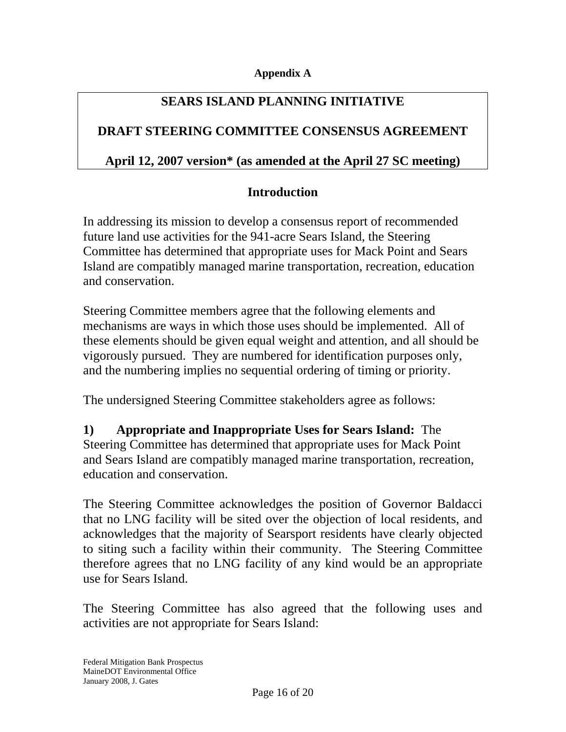#### **Appendix A**

### **SEARS ISLAND PLANNING INITIATIVE**

### **DRAFT STEERING COMMITTEE CONSENSUS AGREEMENT**

### **April 12, 2007 version\* (as amended at the April 27 SC meeting)**

### **Introduction**

In addressing its mission to develop a consensus report of recommended future land use activities for the 941-acre Sears Island, the Steering Committee has determined that appropriate uses for Mack Point and Sears Island are compatibly managed marine transportation, recreation, education and conservation.

Steering Committee members agree that the following elements and mechanisms are ways in which those uses should be implemented. All of these elements should be given equal weight and attention, and all should be vigorously pursued. They are numbered for identification purposes only, and the numbering implies no sequential ordering of timing or priority.

The undersigned Steering Committee stakeholders agree as follows:

**1) Appropriate and Inappropriate Uses for Sears Island:** The Steering Committee has determined that appropriate uses for Mack Point and Sears Island are compatibly managed marine transportation, recreation, education and conservation.

The Steering Committee acknowledges the position of Governor Baldacci that no LNG facility will be sited over the objection of local residents, and acknowledges that the majority of Searsport residents have clearly objected to siting such a facility within their community. The Steering Committee therefore agrees that no LNG facility of any kind would be an appropriate use for Sears Island.

The Steering Committee has also agreed that the following uses and activities are not appropriate for Sears Island: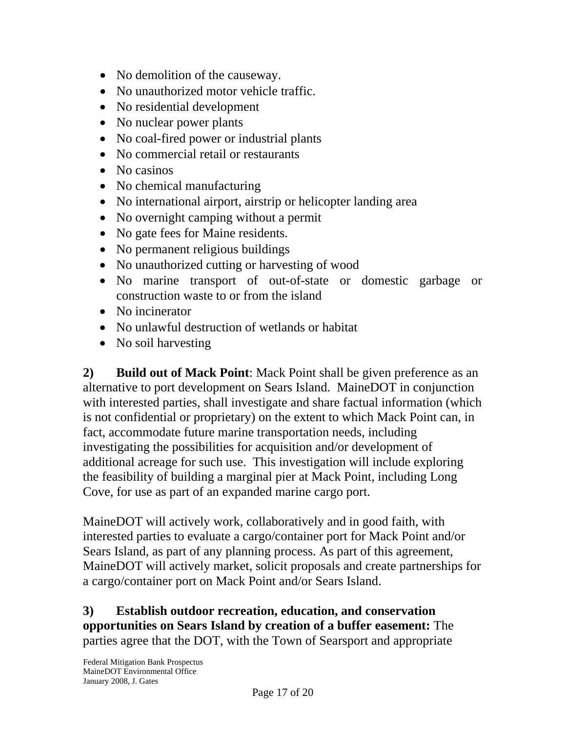- No demolition of the causeway.
- No unauthorized motor vehicle traffic.
- No residential development
- No nuclear power plants
- No coal-fired power or industrial plants
- No commercial retail or restaurants
- No casinos
- No chemical manufacturing
- No international airport, airstrip or helicopter landing area
- No overnight camping without a permit
- No gate fees for Maine residents.
- No permanent religious buildings
- No unauthorized cutting or harvesting of wood
- No marine transport of out-of-state or domestic garbage or construction waste to or from the island
- No incinerator
- No unlawful destruction of wetlands or habitat
- No soil harvesting

**2) Build out of Mack Point**: Mack Point shall be given preference as an alternative to port development on Sears Island. MaineDOT in conjunction with interested parties, shall investigate and share factual information (which is not confidential or proprietary) on the extent to which Mack Point can, in fact, accommodate future marine transportation needs, including investigating the possibilities for acquisition and/or development of additional acreage for such use. This investigation will include exploring the feasibility of building a marginal pier at Mack Point, including Long Cove, for use as part of an expanded marine cargo port.

MaineDOT will actively work, collaboratively and in good faith, with interested parties to evaluate a cargo/container port for Mack Point and/or Sears Island, as part of any planning process. As part of this agreement, MaineDOT will actively market, solicit proposals and create partnerships for a cargo/container port on Mack Point and/or Sears Island.

**3) Establish outdoor recreation, education, and conservation opportunities on Sears Island by creation of a buffer easement:** The parties agree that the DOT, with the Town of Searsport and appropriate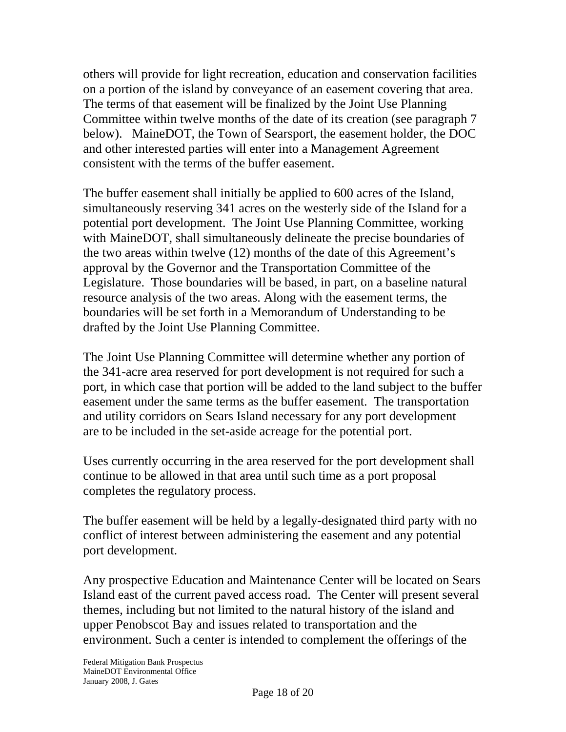others will provide for light recreation, education and conservation facilities on a portion of the island by conveyance of an easement covering that area. The terms of that easement will be finalized by the Joint Use Planning Committee within twelve months of the date of its creation (see paragraph 7 below). MaineDOT, the Town of Searsport, the easement holder, the DOC and other interested parties will enter into a Management Agreement consistent with the terms of the buffer easement.

The buffer easement shall initially be applied to 600 acres of the Island, simultaneously reserving 341 acres on the westerly side of the Island for a potential port development. The Joint Use Planning Committee, working with MaineDOT, shall simultaneously delineate the precise boundaries of the two areas within twelve (12) months of the date of this Agreement's approval by the Governor and the Transportation Committee of the Legislature. Those boundaries will be based, in part, on a baseline natural resource analysis of the two areas. Along with the easement terms, the boundaries will be set forth in a Memorandum of Understanding to be drafted by the Joint Use Planning Committee.

The Joint Use Planning Committee will determine whether any portion of the 341-acre area reserved for port development is not required for such a port, in which case that portion will be added to the land subject to the buffer easement under the same terms as the buffer easement. The transportation and utility corridors on Sears Island necessary for any port development are to be included in the set-aside acreage for the potential port.

Uses currently occurring in the area reserved for the port development shall continue to be allowed in that area until such time as a port proposal completes the regulatory process.

The buffer easement will be held by a legally-designated third party with no conflict of interest between administering the easement and any potential port development.

Any prospective Education and Maintenance Center will be located on Sears Island east of the current paved access road. The Center will present several themes, including but not limited to the natural history of the island and upper Penobscot Bay and issues related to transportation and the environment. Such a center is intended to complement the offerings of the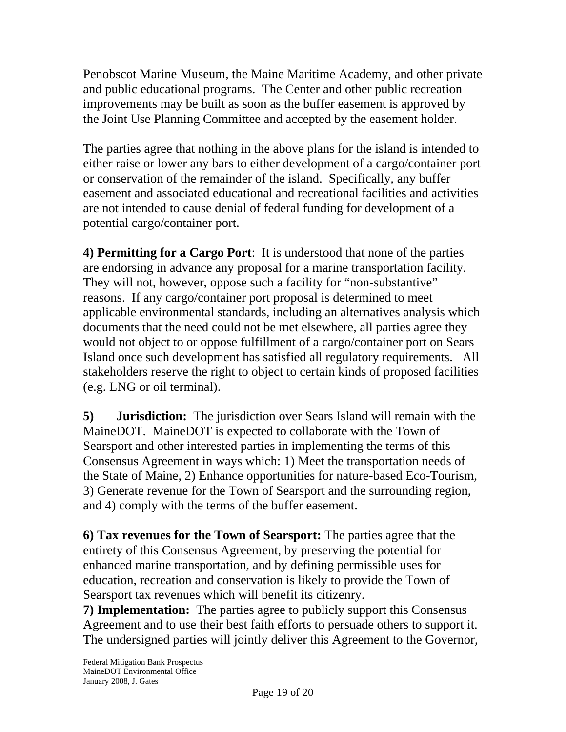Penobscot Marine Museum, the Maine Maritime Academy, and other private and public educational programs. The Center and other public recreation improvements may be built as soon as the buffer easement is approved by the Joint Use Planning Committee and accepted by the easement holder.

The parties agree that nothing in the above plans for the island is intended to either raise or lower any bars to either development of a cargo/container port or conservation of the remainder of the island. Specifically, any buffer easement and associated educational and recreational facilities and activities are not intended to cause denial of federal funding for development of a potential cargo/container port.

**4) Permitting for a Cargo Port**: It is understood that none of the parties are endorsing in advance any proposal for a marine transportation facility. They will not, however, oppose such a facility for "non-substantive" reasons. If any cargo/container port proposal is determined to meet applicable environmental standards, including an alternatives analysis which documents that the need could not be met elsewhere, all parties agree they would not object to or oppose fulfillment of a cargo/container port on Sears Island once such development has satisfied all regulatory requirements. All stakeholders reserve the right to object to certain kinds of proposed facilities (e.g. LNG or oil terminal).

**5) Jurisdiction:** The jurisdiction over Sears Island will remain with the MaineDOT. MaineDOT is expected to collaborate with the Town of Searsport and other interested parties in implementing the terms of this Consensus Agreement in ways which: 1) Meet the transportation needs of the State of Maine, 2) Enhance opportunities for nature-based Eco-Tourism, 3) Generate revenue for the Town of Searsport and the surrounding region, and 4) comply with the terms of the buffer easement.

**6) Tax revenues for the Town of Searsport:** The parties agree that the entirety of this Consensus Agreement, by preserving the potential for enhanced marine transportation, and by defining permissible uses for education, recreation and conservation is likely to provide the Town of Searsport tax revenues which will benefit its citizenry.

**7) Implementation:** The parties agree to publicly support this Consensus Agreement and to use their best faith efforts to persuade others to support it. The undersigned parties will jointly deliver this Agreement to the Governor,